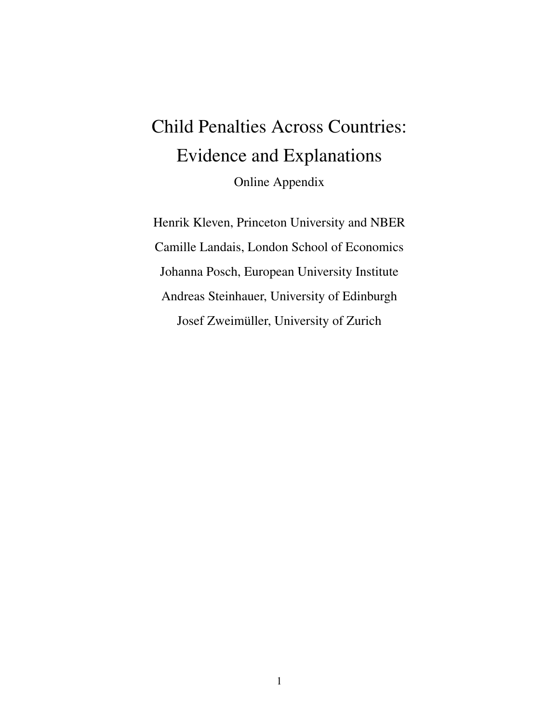# Child Penalties Across Countries: Evidence and Explanations Online Appendix

Henrik Kleven, Princeton University and NBER Camille Landais, London School of Economics Johanna Posch, European University Institute Andreas Steinhauer, University of Edinburgh Josef Zweimüller, University of Zurich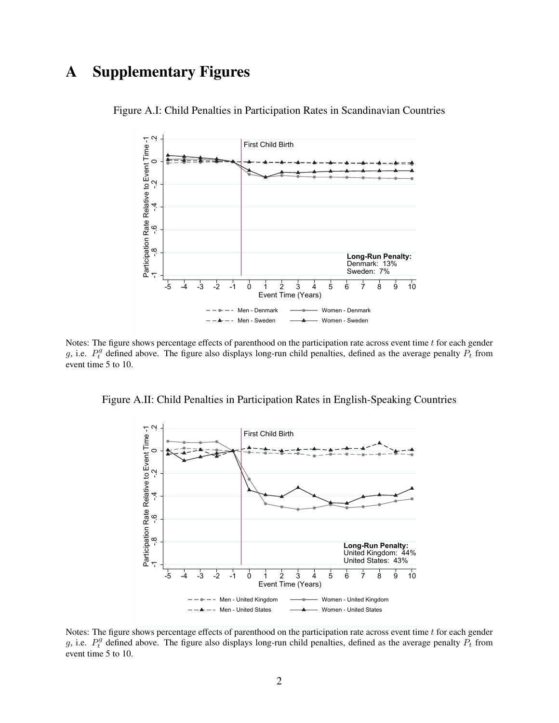# A Supplementary Figures



Figure A.I: Child Penalties in Participation Rates in Scandinavian Countries

Notes: The figure shows percentage effects of parenthood on the participation rate across event time  $t$  for each gender g, i.e.  $P_t^g$  defined above. The figure also displays long-run child penalties, defined as the average penalty  $P_t$  from event time 5 to 10.

Figure A.II: Child Penalties in Participation Rates in English-Speaking Countries



Notes: The figure shows percentage effects of parenthood on the participation rate across event time  $t$  for each gender g, i.e.  $P_t^g$  defined above. The figure also displays long-run child penalties, defined as the average penalty  $P_t$  from event time 5 to 10.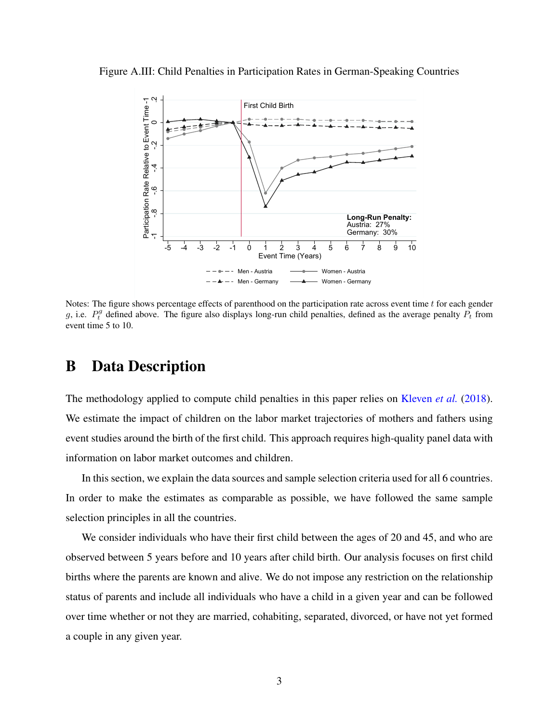Figure A.III: Child Penalties in Participation Rates in German-Speaking Countries



Notes: The figure shows percentage effects of parenthood on the participation rate across event time  $t$  for each gender g, i.e.  $P_t^g$  defined above. The figure also displays long-run child penalties, defined as the average penalty  $P_t$  from event time 5 to 10.

# B Data Description

The methodology applied to compute child penalties in this paper relies on [Kleven](#page-11-0) *et al.* [\(2018\)](#page-11-0). We estimate the impact of children on the labor market trajectories of mothers and fathers using event studies around the birth of the first child. This approach requires high-quality panel data with information on labor market outcomes and children.

In this section, we explain the data sources and sample selection criteria used for all 6 countries. In order to make the estimates as comparable as possible, we have followed the same sample selection principles in all the countries.

We consider individuals who have their first child between the ages of 20 and 45, and who are observed between 5 years before and 10 years after child birth. Our analysis focuses on first child births where the parents are known and alive. We do not impose any restriction on the relationship status of parents and include all individuals who have a child in a given year and can be followed over time whether or not they are married, cohabiting, separated, divorced, or have not yet formed a couple in any given year.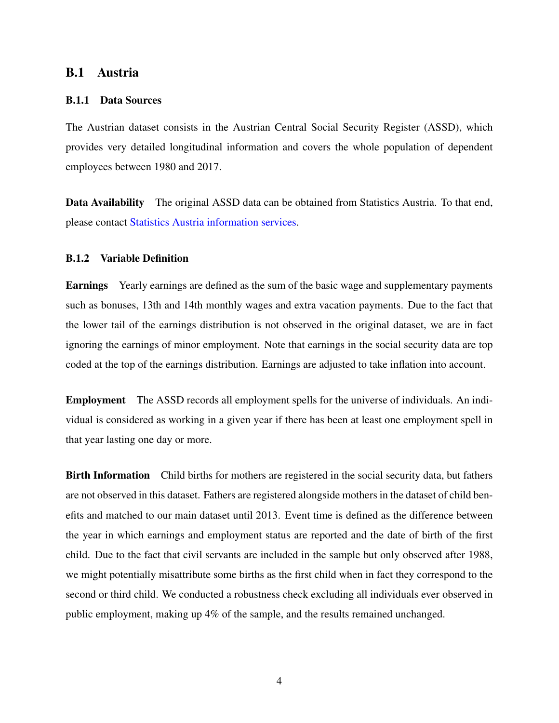# B.1 Austria

#### B.1.1 Data Sources

The Austrian dataset consists in the Austrian Central Social Security Register (ASSD), which provides very detailed longitudinal information and covers the whole population of dependent employees between 1980 and 2017.

Data Availability The original ASSD data can be obtained from Statistics Austria. To that end, please contact [Statistics Austria information services.](http://www.statistik.at/web_en/publications_services/statistics_austria_information_services/index.html)

#### B.1.2 Variable Definition

Earnings Yearly earnings are defined as the sum of the basic wage and supplementary payments such as bonuses, 13th and 14th monthly wages and extra vacation payments. Due to the fact that the lower tail of the earnings distribution is not observed in the original dataset, we are in fact ignoring the earnings of minor employment. Note that earnings in the social security data are top coded at the top of the earnings distribution. Earnings are adjusted to take inflation into account.

Employment The ASSD records all employment spells for the universe of individuals. An individual is considered as working in a given year if there has been at least one employment spell in that year lasting one day or more.

**Birth Information** Child births for mothers are registered in the social security data, but fathers are not observed in this dataset. Fathers are registered alongside mothers in the dataset of child benefits and matched to our main dataset until 2013. Event time is defined as the difference between the year in which earnings and employment status are reported and the date of birth of the first child. Due to the fact that civil servants are included in the sample but only observed after 1988, we might potentially misattribute some births as the first child when in fact they correspond to the second or third child. We conducted a robustness check excluding all individuals ever observed in public employment, making up 4% of the sample, and the results remained unchanged.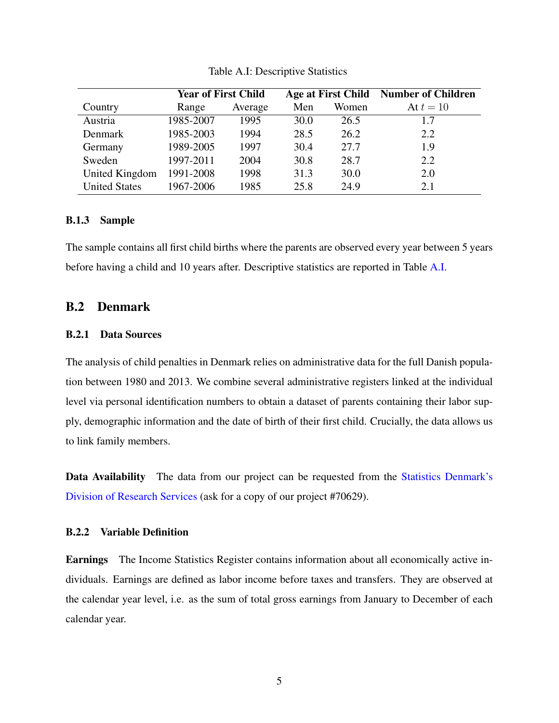<span id="page-4-0"></span>

|                      | <b>Year of First Child</b> |         |      |       | Age at First Child Number of Children |  |
|----------------------|----------------------------|---------|------|-------|---------------------------------------|--|
| Country              | Range                      | Average | Men  | Women | At $t=10$                             |  |
| Austria              | 1985-2007                  | 1995    | 30.0 | 26.5  | 1.7                                   |  |
| Denmark              | 1985-2003                  | 1994    | 28.5 | 26.2  | 2.2                                   |  |
| Germany              | 1989-2005                  | 1997    | 30.4 | 27.7  | 1.9                                   |  |
| Sweden               | 1997-2011                  | 2004    | 30.8 | 28.7  | 2.2                                   |  |
| United Kingdom       | 1991-2008                  | 1998    | 31.3 | 30.0  | 2.0                                   |  |
| <b>United States</b> | 1967-2006                  | 1985    | 25.8 | 24.9  | 2.1                                   |  |

Table A.I: Descriptive Statistics

#### B.1.3 Sample

The sample contains all first child births where the parents are observed every year between 5 years before having a child and 10 years after. Descriptive statistics are reported in Table [A.I.](#page-4-0)

# B.2 Denmark

#### B.2.1 Data Sources

The analysis of child penalties in Denmark relies on administrative data for the full Danish population between 1980 and 2013. We combine several administrative registers linked at the individual level via personal identification numbers to obtain a dataset of parents containing their labor supply, demographic information and the date of birth of their first child. Crucially, the data allows us to link family members.

Data Availability The data from our project can be requested from the [Statistics Denmark's](https://www.dst.dk/en/TilSalg/Forskningsservice) [Division of Research Services](https://www.dst.dk/en/TilSalg/Forskningsservice) (ask for a copy of our project #70629).

#### B.2.2 Variable Definition

Earnings The Income Statistics Register contains information about all economically active individuals. Earnings are defined as labor income before taxes and transfers. They are observed at the calendar year level, i.e. as the sum of total gross earnings from January to December of each calendar year.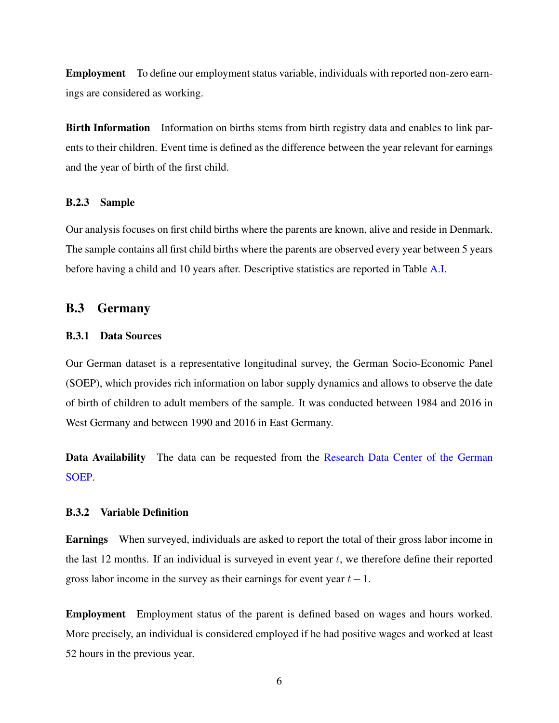Employment To define our employment status variable, individuals with reported non-zero earnings are considered as working.

Birth Information Information on births stems from birth registry data and enables to link parents to their children. Event time is defined as the difference between the year relevant for earnings and the year of birth of the first child.

#### B.2.3 Sample

Our analysis focuses on first child births where the parents are known, alive and reside in Denmark. The sample contains all first child births where the parents are observed every year between 5 years before having a child and 10 years after. Descriptive statistics are reported in Table [A.I.](#page-4-0)

### B.3 Germany

## B.3.1 Data Sources

Our German dataset is a representative longitudinal survey, the German Socio-Economic Panel (SOEP), which provides rich information on labor supply dynamics and allows to observe the date of birth of children to adult members of the sample. It was conducted between 1984 and 2016 in West Germany and between 1990 and 2016 in East Germany.

Data Availability The data can be requested from the [Research Data Center of the German](https://www.diw.de/en/diw_02.c.221180.en/research_data_center_soep.html) [SOEP.](https://www.diw.de/en/diw_02.c.221180.en/research_data_center_soep.html)

## B.3.2 Variable Definition

Earnings When surveyed, individuals are asked to report the total of their gross labor income in the last 12 months. If an individual is surveyed in event year  $t$ , we therefore define their reported gross labor income in the survey as their earnings for event year  $t-1$ .

Employment Employment status of the parent is defined based on wages and hours worked. More precisely, an individual is considered employed if he had positive wages and worked at least 52 hours in the previous year.

6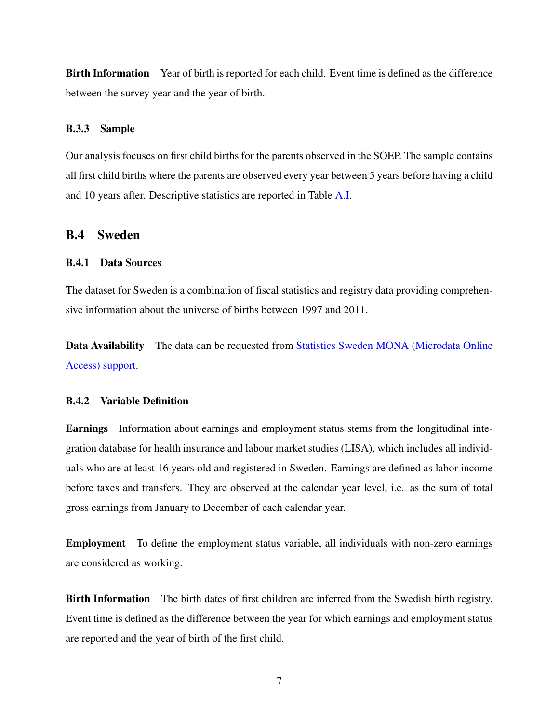Birth Information Year of birth is reported for each child. Event time is defined as the difference between the survey year and the year of birth.

### B.3.3 Sample

Our analysis focuses on first child births for the parents observed in the SOEP. The sample contains all first child births where the parents are observed every year between 5 years before having a child and 10 years after. Descriptive statistics are reported in Table [A.I.](#page-4-0)

# B.4 Sweden

#### B.4.1 Data Sources

The dataset for Sweden is a combination of fiscal statistics and registry data providing comprehensive information about the universe of births between 1997 and 2011.

Data Availability The data can be requested from [Statistics Sweden MONA \(Microdata Online](https://www.scb.se/en/services/guidance-for-researchers-anduniversities/ mona--a-system-for-delivering-microdata/) [Access\) support.](https://www.scb.se/en/services/guidance-for-researchers-anduniversities/ mona--a-system-for-delivering-microdata/)

#### B.4.2 Variable Definition

Earnings Information about earnings and employment status stems from the longitudinal integration database for health insurance and labour market studies (LISA), which includes all individuals who are at least 16 years old and registered in Sweden. Earnings are defined as labor income before taxes and transfers. They are observed at the calendar year level, i.e. as the sum of total gross earnings from January to December of each calendar year.

Employment To define the employment status variable, all individuals with non-zero earnings are considered as working.

Birth Information The birth dates of first children are inferred from the Swedish birth registry. Event time is defined as the difference between the year for which earnings and employment status are reported and the year of birth of the first child.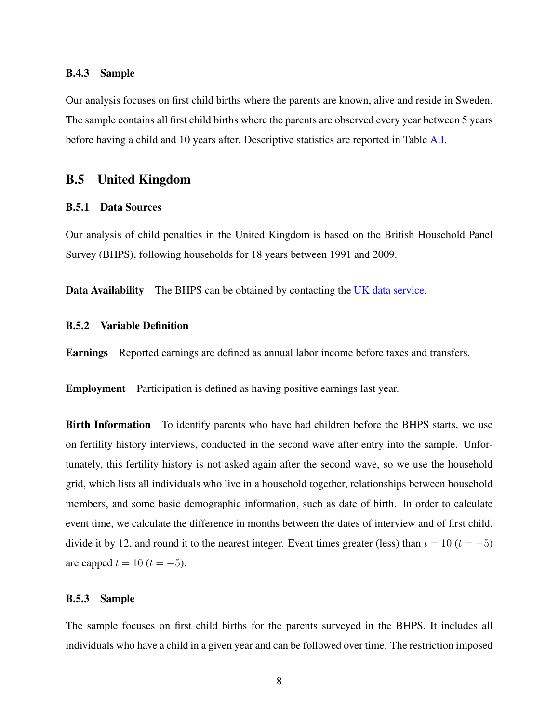#### B.4.3 Sample

Our analysis focuses on first child births where the parents are known, alive and reside in Sweden. The sample contains all first child births where the parents are observed every year between 5 years before having a child and 10 years after. Descriptive statistics are reported in Table [A.I.](#page-4-0)

# B.5 United Kingdom

#### B.5.1 Data Sources

Our analysis of child penalties in the United Kingdom is based on the British Household Panel Survey (BHPS), following households for 18 years between 1991 and 2009.

Data Availability The BHPS can be obtained by contacting the [UK data service.](https://www.iser.essex.ac.uk/bhps/acquiring-the-data)

#### B.5.2 Variable Definition

Earnings Reported earnings are defined as annual labor income before taxes and transfers.

Employment Participation is defined as having positive earnings last year.

Birth Information To identify parents who have had children before the BHPS starts, we use on fertility history interviews, conducted in the second wave after entry into the sample. Unfortunately, this fertility history is not asked again after the second wave, so we use the household grid, which lists all individuals who live in a household together, relationships between household members, and some basic demographic information, such as date of birth. In order to calculate event time, we calculate the difference in months between the dates of interview and of first child, divide it by 12, and round it to the nearest integer. Event times greater (less) than  $t = 10$  ( $t = -5$ ) are capped  $t = 10$  ( $t = -5$ ).

#### B.5.3 Sample

The sample focuses on first child births for the parents surveyed in the BHPS. It includes all individuals who have a child in a given year and can be followed over time. The restriction imposed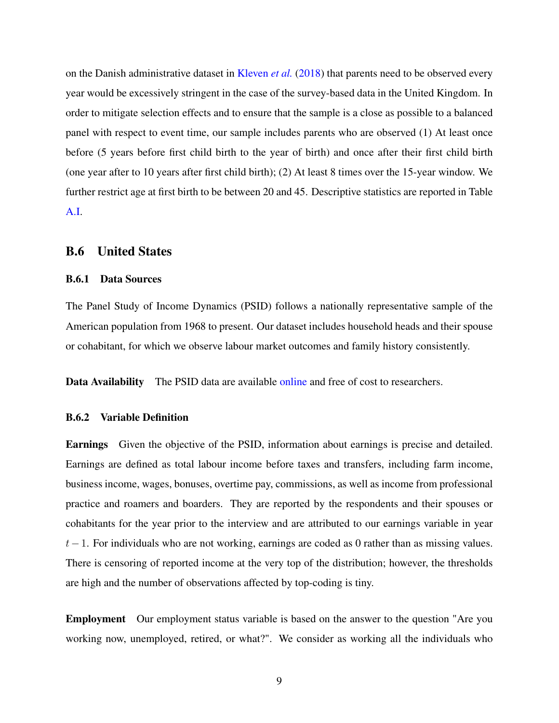on the Danish administrative dataset in [Kleven](#page-11-0) *et al.* [\(2018\)](#page-11-0) that parents need to be observed every year would be excessively stringent in the case of the survey-based data in the United Kingdom. In order to mitigate selection effects and to ensure that the sample is a close as possible to a balanced panel with respect to event time, our sample includes parents who are observed (1) At least once before (5 years before first child birth to the year of birth) and once after their first child birth (one year after to 10 years after first child birth); (2) At least 8 times over the 15-year window. We further restrict age at first birth to be between 20 and 45. Descriptive statistics are reported in Table [A.I.](#page-4-0)

#### B.6 United States

#### B.6.1 Data Sources

The Panel Study of Income Dynamics (PSID) follows a nationally representative sample of the American population from 1968 to present. Our dataset includes household heads and their spouse or cohabitant, for which we observe labour market outcomes and family history consistently.

Data Availability The PSID data are available [online](https://psidonline.isr.umich.edu/) and free of cost to researchers.

#### B.6.2 Variable Definition

Earnings Given the objective of the PSID, information about earnings is precise and detailed. Earnings are defined as total labour income before taxes and transfers, including farm income, business income, wages, bonuses, overtime pay, commissions, as well as income from professional practice and roamers and boarders. They are reported by the respondents and their spouses or cohabitants for the year prior to the interview and are attributed to our earnings variable in year  $t-1$ . For individuals who are not working, earnings are coded as 0 rather than as missing values. There is censoring of reported income at the very top of the distribution; however, the thresholds are high and the number of observations affected by top-coding is tiny.

Employment Our employment status variable is based on the answer to the question "Are you working now, unemployed, retired, or what?". We consider as working all the individuals who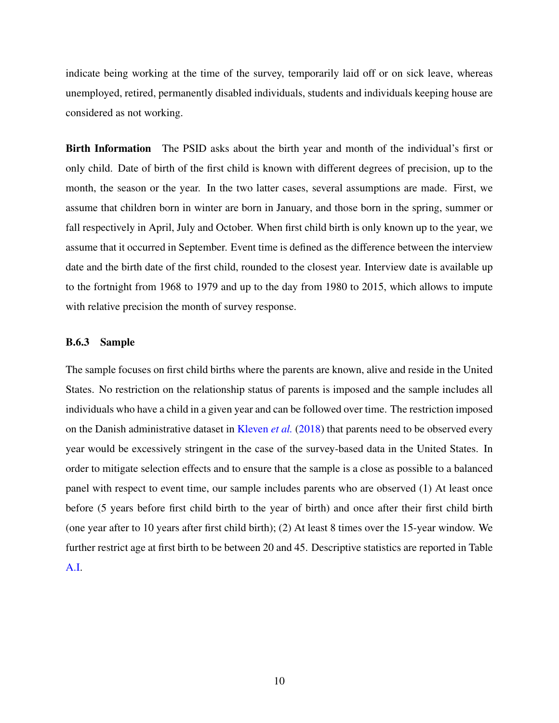indicate being working at the time of the survey, temporarily laid off or on sick leave, whereas unemployed, retired, permanently disabled individuals, students and individuals keeping house are considered as not working.

Birth Information The PSID asks about the birth year and month of the individual's first or only child. Date of birth of the first child is known with different degrees of precision, up to the month, the season or the year. In the two latter cases, several assumptions are made. First, we assume that children born in winter are born in January, and those born in the spring, summer or fall respectively in April, July and October. When first child birth is only known up to the year, we assume that it occurred in September. Event time is defined as the difference between the interview date and the birth date of the first child, rounded to the closest year. Interview date is available up to the fortnight from 1968 to 1979 and up to the day from 1980 to 2015, which allows to impute with relative precision the month of survey response.

#### B.6.3 Sample

The sample focuses on first child births where the parents are known, alive and reside in the United States. No restriction on the relationship status of parents is imposed and the sample includes all individuals who have a child in a given year and can be followed over time. The restriction imposed on the Danish administrative dataset in [Kleven](#page-11-0) *et al.* [\(2018\)](#page-11-0) that parents need to be observed every year would be excessively stringent in the case of the survey-based data in the United States. In order to mitigate selection effects and to ensure that the sample is a close as possible to a balanced panel with respect to event time, our sample includes parents who are observed (1) At least once before (5 years before first child birth to the year of birth) and once after their first child birth (one year after to 10 years after first child birth); (2) At least 8 times over the 15-year window. We further restrict age at first birth to be between 20 and 45. Descriptive statistics are reported in Table [A.I.](#page-4-0)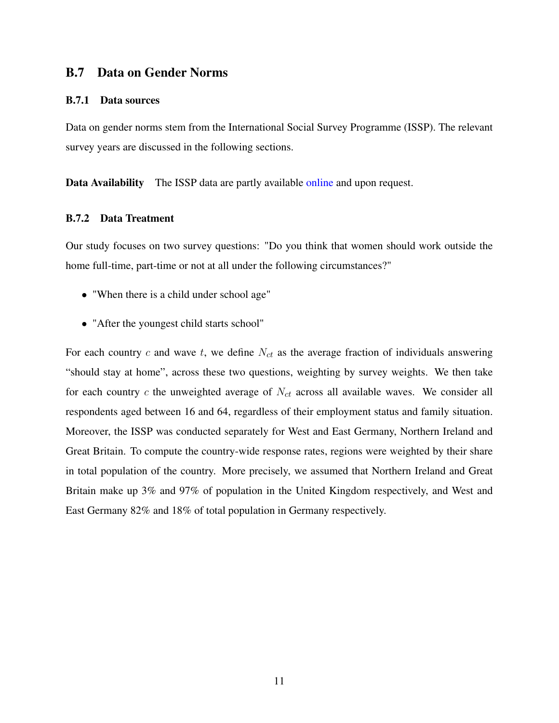# B.7 Data on Gender Norms

#### B.7.1 Data sources

Data on gender norms stem from the International Social Survey Programme (ISSP). The relevant survey years are discussed in the following sections.

Data Availability The ISSP data are partly available [online](http://www.issp.org/data-download/archive/) and upon request.

#### B.7.2 Data Treatment

Our study focuses on two survey questions: "Do you think that women should work outside the home full-time, part-time or not at all under the following circumstances?"

- "When there is a child under school age"
- "After the youngest child starts school"

For each country c and wave t, we define  $N_{ct}$  as the average fraction of individuals answering "should stay at home", across these two questions, weighting by survey weights. We then take for each country c the unweighted average of  $N_{ct}$  across all available waves. We consider all respondents aged between 16 and 64, regardless of their employment status and family situation. Moreover, the ISSP was conducted separately for West and East Germany, Northern Ireland and Great Britain. To compute the country-wide response rates, regions were weighted by their share in total population of the country. More precisely, we assumed that Northern Ireland and Great Britain make up 3% and 97% of population in the United Kingdom respectively, and West and East Germany 82% and 18% of total population in Germany respectively.